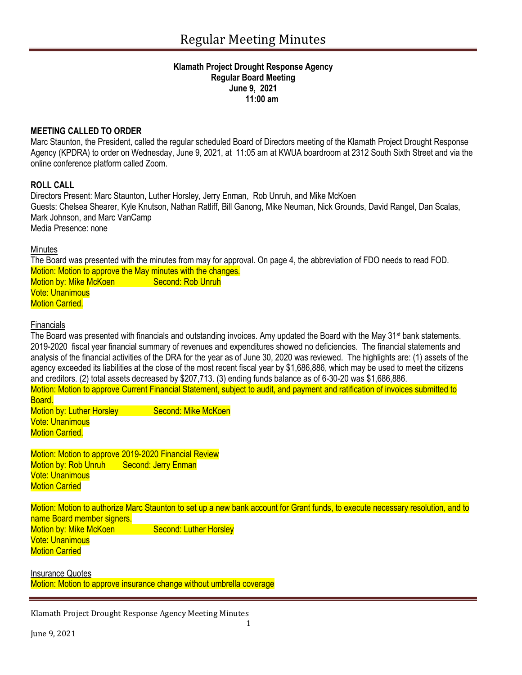#### **Klamath Project Drought Response Agency Regular Board Meeting June 9, 2021 11:00 am**

### **MEETING CALLED TO ORDER**

Marc Staunton, the President, called the regular scheduled Board of Directors meeting of the Klamath Project Drought Response Agency (KPDRA) to order on Wednesday, June 9, 2021, at 11:05 am at KWUA boardroom at 2312 South Sixth Street and via the online conference platform called Zoom.

#### **ROLL CALL**

Directors Present: Marc Staunton, Luther Horsley, Jerry Enman, Rob Unruh, and Mike McKoen Guests: Chelsea Shearer, Kyle Knutson, Nathan Ratliff, Bill Ganong, Mike Neuman, Nick Grounds, David Rangel, Dan Scalas, Mark Johnson, and Marc VanCamp Media Presence: none

#### **Minutes**

The Board was presented with the minutes from may for approval. On page 4, the abbreviation of FDO needs to read FOD. Motion: Motion to approve the May minutes with the changes. Motion by: Mike McKoen Second: Rob Unruh Vote: Unanimous **Motion Carried.** 

#### **Financials**

The Board was presented with financials and outstanding invoices. Amy updated the Board with the May 31<sup>st</sup> bank statements. 2019-2020 fiscal year financial summary of revenues and expenditures showed no deficiencies. The financial statements and analysis of the financial activities of the DRA for the year as of June 30, 2020 was reviewed. The highlights are: (1) assets of the agency exceeded its liabilities at the close of the most recent fiscal year by \$1,686,886, which may be used to meet the citizens and creditors. (2) total assets decreased by \$207,713. (3) ending funds balance as of 6-30-20 was \$1,686,886. Motion: Motion to approve Current Financial Statement, subject to audit, and payment and ratification of invoices submitted to **Board** Motion by: Luther Horsley Second: Mike McKoen Vote: Unanimous Motion Carried.

Motion: Motion to approve 2019-2020 Financial Review Motion by: Rob Unruh Second: Jerry Enman Vote: Unanimous Motion Carried

Motion: Motion to authorize Marc Staunton to set up a new bank account for Grant funds, to execute necessary resolution, and to name Board member signers. Motion by: Mike McKoen Second: Luther Horsley Vote: Unanimous Motion Carried

Insurance Quotes Motion: Motion to approve insurance change without umbrella coverage

Klamath Project Drought Response Agency Meeting Minutes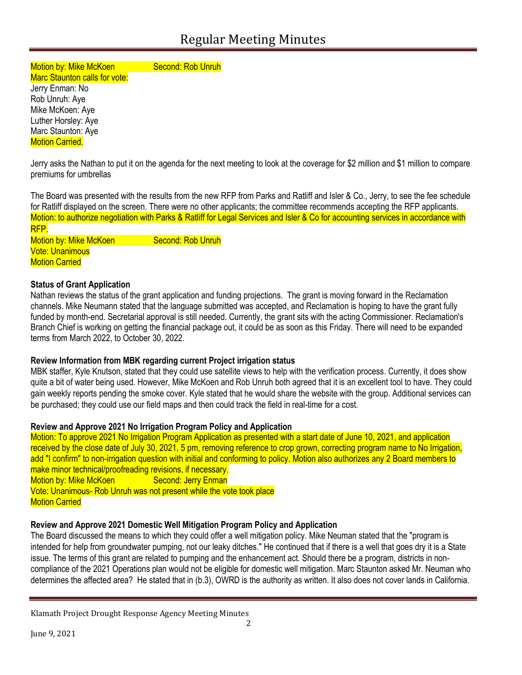Motion by: Mike McKoen Second: Rob Unruh Marc Staunton calls for vote:

Jerry Enman: No Rob Unruh: Aye Mike McKoen: Aye Luther Horsley: Aye Marc Staunton: Aye **Motion Carried.** 

Jerry asks the Nathan to put it on the agenda for the next meeting to look at the coverage for \$2 million and \$1 million to compare premiums for umbrellas

The Board was presented with the results from the new RFP from Parks and Ratliff and Isler & Co., Jerry, to see the fee schedule for Ratliff displayed on the screen. There were no other applicants; the committee recommends accepting the RFP applicants. Motion: to authorize negotiation with Parks & Ratliff for Legal Services and Isler & Co for accounting services in accordance with RFP.

Motion by: Mike McKoen Second: Rob Unruh Vote: Unanimous **Motion Carried** 

# **Status of Grant Application**

Nathan reviews the status of the grant application and funding projections. The grant is moving forward in the Reclamation channels. Mike Neumann stated that the language submitted was accepted, and Reclamation is hoping to have the grant fully funded by month-end. Secretarial approval is still needed. Currently, the grant sits with the acting Commissioner. Reclamation's Branch Chief is working on getting the financial package out, it could be as soon as this Friday. There will need to be expanded terms from March 2022, to October 30, 2022.

# **Review Information from MBK regarding current Project irrigation status**

MBK staffer, Kyle Knutson, stated that they could use satellite views to help with the verification process. Currently, it does show quite a bit of water being used. However, Mike McKoen and Rob Unruh both agreed that it is an excellent tool to have. They could gain weekly reports pending the smoke cover. Kyle stated that he would share the website with the group. Additional services can be purchased; they could use our field maps and then could track the field in real-time for a cost.

# **Review and Approve 2021 No Irrigation Program Policy and Application**

Motion: To approve 2021 No Irrigation Program Application as presented with a start date of June 10, 2021, and application received by the close date of July 30, 2021, 5 pm, removing reference to crop grown, correcting program name to No Irrigation, add "I confirm" to non-irrigation question with initial and conforming to policy. Motion also authorizes any 2 Board members to make minor technical/proofreading revisions, if necessary. Motion by: Mike McKoen Second: Jerry Enman Vote: Unanimous- Rob Unruh was not present while the vote took place Motion Carried

# **Review and Approve 2021 Domestic Well Mitigation Program Policy and Application**

The Board discussed the means to which they could offer a well mitigation policy. Mike Neuman stated that the "program is intended for help from groundwater pumping, not our leaky ditches." He continued that if there is a well that goes dry it is a State issue. The terms of this grant are related to pumping and the enhancement act. Should there be a program, districts in noncompliance of the 2021 Operations plan would not be eligible for domestic well mitigation. Marc Staunton asked Mr. Neuman who determines the affected area? He stated that in (b.3), OWRD is the authority as written. It also does not cover lands in California.

Klamath Project Drought Response Agency Meeting Minutes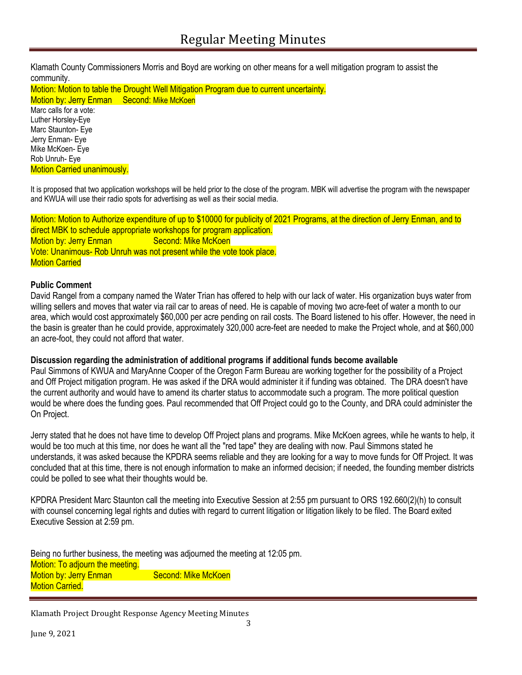Klamath County Commissioners Morris and Boyd are working on other means for a well mitigation program to assist the community.

Motion: Motion to table the Drought Well Mitigation Program due to current uncertainty. Motion by: Jerry Enman Second: Mike McKoen Marc calls for a vote: Luther Horsley-Eye Marc Staunton- Eye Jerry Enman- Eye Mike McKoen- Eye Rob Unruh- Eye

Motion Carried unanimously.

It is proposed that two application workshops will be held prior to the close of the program. MBK will advertise the program with the newspaper and KWUA will use their radio spots for advertising as well as their social media.

Motion: Motion to Authorize expenditure of up to \$10000 for publicity of 2021 Programs, at the direction of Jerry Enman, and to direct MBK to schedule appropriate workshops for program application. Motion by: Jerry Enman Second: Mike McKoen Vote: Unanimous- Rob Unruh was not present while the vote took place. Motion Carried

# **Public Comment**

David Rangel from a company named the Water Trian has offered to help with our lack of water. His organization buys water from willing sellers and moves that water via rail car to areas of need. He is capable of moving two acre-feet of water a month to our area, which would cost approximately \$60,000 per acre pending on rail costs. The Board listened to his offer. However, the need in the basin is greater than he could provide, approximately 320,000 acre-feet are needed to make the Project whole, and at \$60,000 an acre-foot, they could not afford that water.

#### **Discussion regarding the administration of additional programs if additional funds become available**

Paul Simmons of KWUA and MaryAnne Cooper of the Oregon Farm Bureau are working together for the possibility of a Project and Off Project mitigation program. He was asked if the DRA would administer it if funding was obtained. The DRA doesn't have the current authority and would have to amend its charter status to accommodate such a program. The more political question would be where does the funding goes. Paul recommended that Off Project could go to the County, and DRA could administer the On Project.

Jerry stated that he does not have time to develop Off Project plans and programs. Mike McKoen agrees, while he wants to help, it would be too much at this time, nor does he want all the "red tape" they are dealing with now. Paul Simmons stated he understands, it was asked because the KPDRA seems reliable and they are looking for a way to move funds for Off Project. It was concluded that at this time, there is not enough information to make an informed decision; if needed, the founding member districts could be polled to see what their thoughts would be.

KPDRA President Marc Staunton call the meeting into Executive Session at 2:55 pm pursuant to ORS 192.660(2)(h) to consult with counsel concerning legal rights and duties with regard to current litigation or litigation likely to be filed. The Board exited Executive Session at 2:59 pm.

Being no further business, the meeting was adjourned the meeting at 12:05 pm. Motion: To adjourn the meeting. Motion by: Jerry Enman Second: Mike McKoen **Motion Carried.** 

Klamath Project Drought Response Agency Meeting Minutes